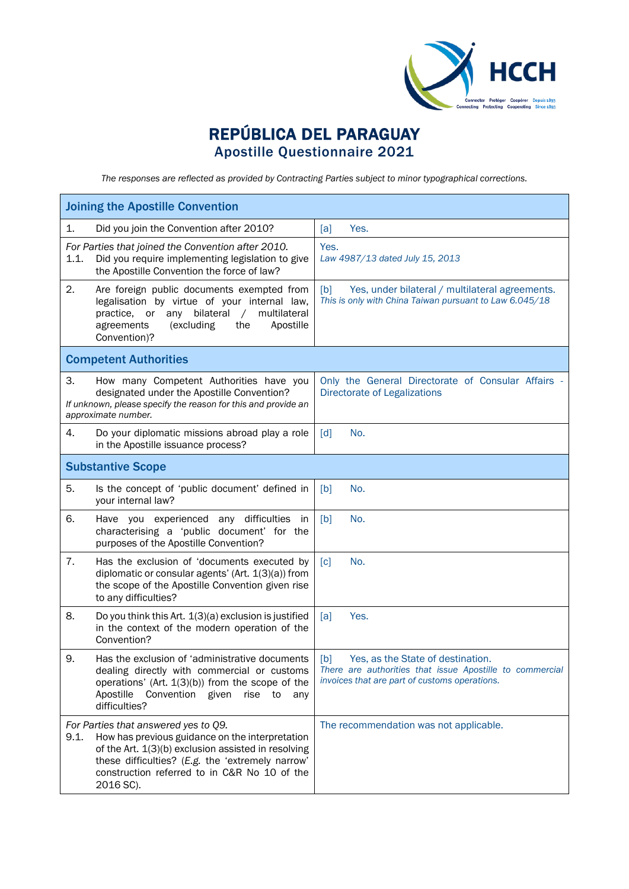

## REPÚBLICA DEL PARAGUAY Apostille Questionnaire 2021

*The responses are reflected as provided by Contracting Parties subject to minor typographical corrections.*

| <b>Joining the Apostille Convention</b>                                                                                                                                                                                                                                 |                                                |                                                                                                                                                       |  |
|-------------------------------------------------------------------------------------------------------------------------------------------------------------------------------------------------------------------------------------------------------------------------|------------------------------------------------|-------------------------------------------------------------------------------------------------------------------------------------------------------|--|
| Did you join the Convention after 2010?<br>1.                                                                                                                                                                                                                           |                                                | [a]<br>Yes.                                                                                                                                           |  |
| For Parties that joined the Convention after 2010.<br>1.1.<br>Did you require implementing legislation to give<br>the Apostille Convention the force of law?                                                                                                            |                                                | Yes.<br>Law 4987/13 dated July 15, 2013                                                                                                               |  |
| 2.<br>Are foreign public documents exempted from<br>legalisation by virtue of your internal law,<br>practice, or<br>bilateral<br>any<br>agreements<br>(excluding<br>Convention)?                                                                                        | multilateral<br>$\sqrt{2}$<br>Apostille<br>the | Yes, under bilateral / multilateral agreements.<br>[b]<br>This is only with China Taiwan pursuant to Law 6.045/18                                     |  |
| <b>Competent Authorities</b>                                                                                                                                                                                                                                            |                                                |                                                                                                                                                       |  |
| 3.<br>How many Competent Authorities have you<br>designated under the Apostille Convention?<br>If unknown, please specify the reason for this and provide an<br>approximate number.                                                                                     |                                                | Only the General Directorate of Consular Affairs -<br><b>Directorate of Legalizations</b>                                                             |  |
| 4.<br>Do your diplomatic missions abroad play a role<br>in the Apostille issuance process?                                                                                                                                                                              |                                                | $\lceil d \rceil$<br>No.                                                                                                                              |  |
| <b>Substantive Scope</b>                                                                                                                                                                                                                                                |                                                |                                                                                                                                                       |  |
| 5.<br>Is the concept of 'public document' defined in<br>your internal law?                                                                                                                                                                                              |                                                | No.<br>[b]                                                                                                                                            |  |
| 6.<br>Have you experienced<br>characterising a 'public document' for the<br>purposes of the Apostille Convention?                                                                                                                                                       | any difficulties<br>in                         | [b]<br>No.                                                                                                                                            |  |
| 7.<br>Has the exclusion of 'documents executed by<br>diplomatic or consular agents' (Art. 1(3)(a)) from<br>the scope of the Apostille Convention given rise<br>to any difficulties?                                                                                     |                                                | $\lceil c \rceil$<br>No.                                                                                                                              |  |
| 8.<br>Do you think this Art. 1(3)(a) exclusion is justified<br>in the context of the modern operation of the<br>Convention?                                                                                                                                             |                                                | Yes.<br>[a]                                                                                                                                           |  |
| 9.<br>Has the exclusion of 'administrative documents<br>dealing directly with commercial or customs<br>operations' (Art. 1(3)(b)) from the scope of the<br>Apostille<br>Convention given<br>difficulties?                                                               | rise<br>to<br>any                              | Yes, as the State of destination.<br>[b]<br>There are authorities that issue Apostille to commercial<br>invoices that are part of customs operations. |  |
| For Parties that answered yes to Q9.<br>How has previous guidance on the interpretation<br>9.1.<br>of the Art. 1(3)(b) exclusion assisted in resolving<br>these difficulties? (E.g. the 'extremely narrow'<br>construction referred to in C&R No 10 of the<br>2016 SC). |                                                | The recommendation was not applicable.                                                                                                                |  |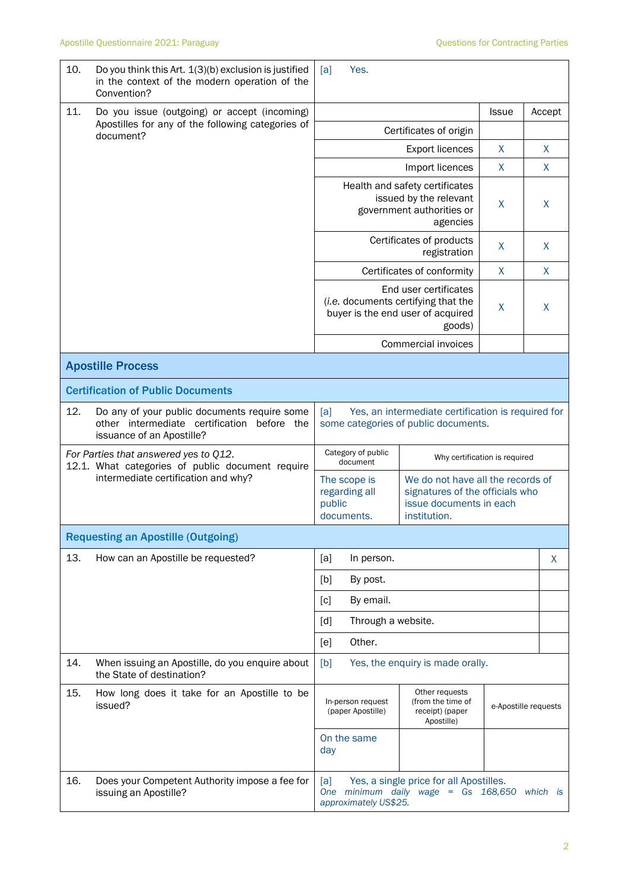| 10.                                 | Do you think this Art. 1(3)(b) exclusion is justified<br>in the context of the modern operation of the<br>Convention?    | Yes.<br>[a]                                                                                                                                                              |                                                                      |              |                      |
|-------------------------------------|--------------------------------------------------------------------------------------------------------------------------|--------------------------------------------------------------------------------------------------------------------------------------------------------------------------|----------------------------------------------------------------------|--------------|----------------------|
| 11.                                 | Do you issue (outgoing) or accept (incoming)                                                                             |                                                                                                                                                                          |                                                                      | <b>Issue</b> | Accept               |
|                                     | Apostilles for any of the following categories of<br>document?                                                           |                                                                                                                                                                          | Certificates of origin                                               |              |                      |
|                                     |                                                                                                                          |                                                                                                                                                                          | X                                                                    | X            |                      |
|                                     |                                                                                                                          |                                                                                                                                                                          | Import licences                                                      | X            | X                    |
|                                     |                                                                                                                          | Health and safety certificates<br>issued by the relevant<br>government authorities or                                                                                    | X                                                                    | X            |                      |
|                                     |                                                                                                                          | Certificates of products                                                                                                                                                 | X                                                                    | X            |                      |
|                                     |                                                                                                                          |                                                                                                                                                                          | Certificates of conformity                                           | X            | X                    |
|                                     |                                                                                                                          | End user certificates<br>(i.e. documents certifying that the<br>buyer is the end user of acquired                                                                        | X                                                                    | X            |                      |
|                                     |                                                                                                                          |                                                                                                                                                                          | Commercial invoices                                                  |              |                      |
|                                     | <b>Apostille Process</b>                                                                                                 |                                                                                                                                                                          |                                                                      |              |                      |
|                                     | <b>Certification of Public Documents</b>                                                                                 |                                                                                                                                                                          |                                                                      |              |                      |
| 12.                                 | Do any of your public documents require some<br>other intermediate certification before the<br>issuance of an Apostille? | Yes, an intermediate certification is required for<br>[a]<br>some categories of public documents.                                                                        |                                                                      |              |                      |
|                                     | For Parties that answered yes to Q12.<br>12.1. What categories of public document require                                | Category of public<br>Why certification is required<br>document                                                                                                          |                                                                      |              |                      |
| intermediate certification and why? |                                                                                                                          | We do not have all the records of<br>The scope is<br>signatures of the officials who<br>regarding all<br>issue documents in each<br>public<br>documents.<br>institution. |                                                                      |              |                      |
|                                     | <b>Requesting an Apostille (Outgoing)</b>                                                                                |                                                                                                                                                                          |                                                                      |              |                      |
| 13.                                 | How can an Apostille be requested?                                                                                       | [a]<br>In person.                                                                                                                                                        |                                                                      |              | X                    |
|                                     |                                                                                                                          | [b]<br>By post.                                                                                                                                                          |                                                                      |              |                      |
|                                     |                                                                                                                          | By email.<br>[c]                                                                                                                                                         |                                                                      |              |                      |
|                                     |                                                                                                                          | Through a website.<br>[d]                                                                                                                                                |                                                                      |              |                      |
|                                     |                                                                                                                          | Other.<br>[e]                                                                                                                                                            |                                                                      |              |                      |
| 14.                                 | When issuing an Apostille, do you enquire about<br>the State of destination?                                             | Yes, the enquiry is made orally.<br>[b]                                                                                                                                  |                                                                      |              |                      |
| 15.                                 | How long does it take for an Apostille to be<br>issued?                                                                  | In-person request<br>(paper Apostille)                                                                                                                                   | Other requests<br>(from the time of<br>receipt) (paper<br>Apostille) |              | e-Apostille requests |
|                                     |                                                                                                                          | On the same<br>day                                                                                                                                                       |                                                                      |              |                      |
| 16.                                 | Does your Competent Authority impose a fee for<br>issuing an Apostille?                                                  | [a]<br>Yes, a single price for all Apostilles.<br>One minimum daily wage = $Gs$ 168,650<br>which is<br>approximately US\$25.                                             |                                                                      |              |                      |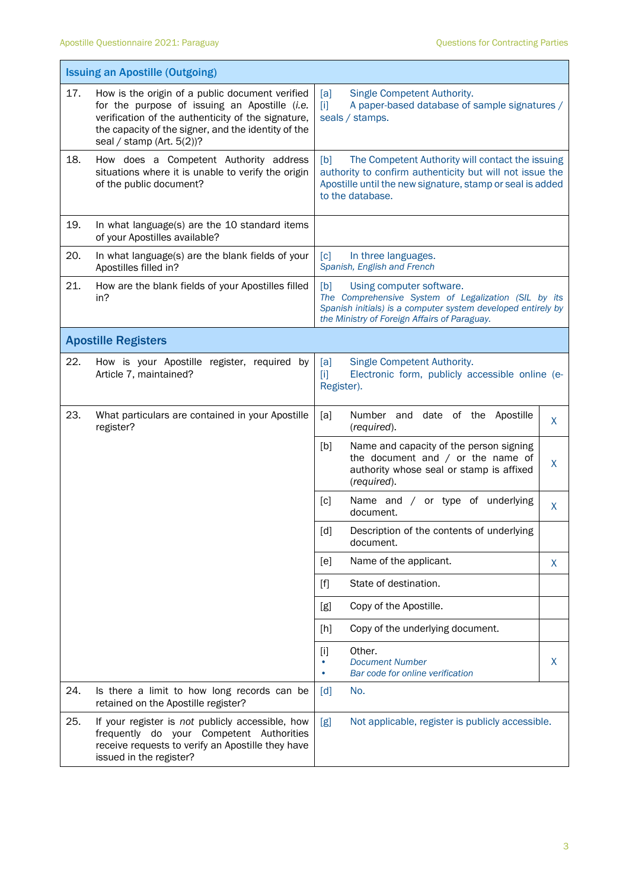$\mathbf{r}$ 

|     | <b>Issuing an Apostille (Outgoing)</b>                                                                                                                                                                                                        |                                                                                                                                                                                                         |  |  |  |
|-----|-----------------------------------------------------------------------------------------------------------------------------------------------------------------------------------------------------------------------------------------------|---------------------------------------------------------------------------------------------------------------------------------------------------------------------------------------------------------|--|--|--|
| 17. | How is the origin of a public document verified<br>for the purpose of issuing an Apostille (i.e.<br>verification of the authenticity of the signature,<br>the capacity of the signer, and the identity of the<br>seal / stamp (Art. $5(2)$ )? | Single Competent Authority.<br>[a]<br>A paper-based database of sample signatures /<br>$\mathbf{[i]}$<br>seals / stamps.                                                                                |  |  |  |
| 18. | How does a Competent Authority address<br>situations where it is unable to verify the origin<br>of the public document?                                                                                                                       | The Competent Authority will contact the issuing<br>[b]<br>authority to confirm authenticity but will not issue the<br>Apostille until the new signature, stamp or seal is added<br>to the database.    |  |  |  |
| 19. | In what language(s) are the 10 standard items<br>of your Apostilles available?                                                                                                                                                                |                                                                                                                                                                                                         |  |  |  |
| 20. | In what language(s) are the blank fields of your<br>Apostilles filled in?                                                                                                                                                                     | In three languages.<br>$\lceil c \rceil$<br>Spanish, English and French                                                                                                                                 |  |  |  |
| 21. | How are the blank fields of your Apostilles filled<br>in?                                                                                                                                                                                     | [b]<br>Using computer software.<br>The Comprehensive System of Legalization (SIL by its<br>Spanish initials) is a computer system developed entirely by<br>the Ministry of Foreign Affairs of Paraguay. |  |  |  |
|     | <b>Apostille Registers</b>                                                                                                                                                                                                                    |                                                                                                                                                                                                         |  |  |  |
| 22. | How is your Apostille register, required by<br>Article 7, maintained?                                                                                                                                                                         | Single Competent Authority.<br>[a]<br>Electronic form, publicly accessible online (e-<br>$[1]$<br>Register).                                                                                            |  |  |  |
| 23. | What particulars are contained in your Apostille<br>register?                                                                                                                                                                                 | date of the Apostille<br>[a]<br>Number and<br>X<br>(required).                                                                                                                                          |  |  |  |
|     |                                                                                                                                                                                                                                               | [b]<br>Name and capacity of the person signing<br>the document and $/$ or the name of<br>$\mathsf{X}$<br>authority whose seal or stamp is affixed<br>(required).                                        |  |  |  |
|     |                                                                                                                                                                                                                                               | Name and / or type of underlying<br>[c]<br>X<br>document.                                                                                                                                               |  |  |  |
|     |                                                                                                                                                                                                                                               | [d]<br>Description of the contents of underlying<br>document.                                                                                                                                           |  |  |  |
|     |                                                                                                                                                                                                                                               | Name of the applicant.<br>[e]<br>X                                                                                                                                                                      |  |  |  |
|     |                                                                                                                                                                                                                                               | State of destination.<br>$[f]$                                                                                                                                                                          |  |  |  |
|     |                                                                                                                                                                                                                                               | Copy of the Apostille.<br>[g]                                                                                                                                                                           |  |  |  |
|     |                                                                                                                                                                                                                                               | Copy of the underlying document.<br>[h]                                                                                                                                                                 |  |  |  |
|     |                                                                                                                                                                                                                                               | Other.<br>$[1]$<br><b>Document Number</b><br>X<br>٠<br>Bar code for online verification                                                                                                                 |  |  |  |
| 24. | Is there a limit to how long records can be<br>retained on the Apostille register?                                                                                                                                                            | [d]<br>No.                                                                                                                                                                                              |  |  |  |
| 25. | If your register is not publicly accessible, how<br>frequently do your Competent Authorities<br>receive requests to verify an Apostille they have<br>issued in the register?                                                                  | Not applicable, register is publicly accessible.<br>[g]                                                                                                                                                 |  |  |  |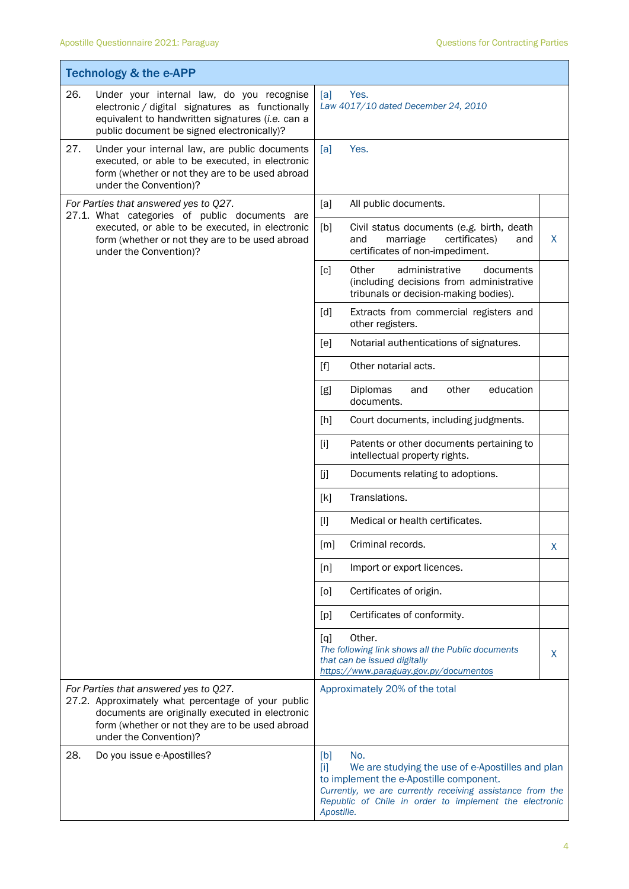|                                                                                        | <b>Technology &amp; the e-APP</b>                                                                                                                                                                                           |                          |                                                                                                                                                                                                                           |   |
|----------------------------------------------------------------------------------------|-----------------------------------------------------------------------------------------------------------------------------------------------------------------------------------------------------------------------------|--------------------------|---------------------------------------------------------------------------------------------------------------------------------------------------------------------------------------------------------------------------|---|
| 26.                                                                                    | Under your internal law, do you recognise<br>electronic / digital signatures as functionally<br>equivalent to handwritten signatures (i.e. can a<br>public document be signed electronically)?                              | [a]                      | Yes.<br>Law 4017/10 dated December 24, 2010                                                                                                                                                                               |   |
| 27.                                                                                    | Under your internal law, are public documents<br>executed, or able to be executed, in electronic<br>form (whether or not they are to be used abroad<br>under the Convention)?                                               | [a]                      | Yes.                                                                                                                                                                                                                      |   |
| For Parties that answered yes to Q27.<br>27.1. What categories of public documents are |                                                                                                                                                                                                                             | [a]                      | All public documents.                                                                                                                                                                                                     |   |
|                                                                                        | executed, or able to be executed, in electronic<br>form (whether or not they are to be used abroad<br>under the Convention)?                                                                                                | [b]                      | Civil status documents (e.g. birth, death<br>and<br>marriage<br>certificates)<br>and<br>certificates of non-impediment.                                                                                                   | X |
|                                                                                        |                                                                                                                                                                                                                             | $\lceil c \rceil$        | Other<br>administrative<br>documents<br>(including decisions from administrative<br>tribunals or decision-making bodies).                                                                                                 |   |
|                                                                                        |                                                                                                                                                                                                                             | [d]                      | Extracts from commercial registers and<br>other registers.                                                                                                                                                                |   |
|                                                                                        |                                                                                                                                                                                                                             | [e]                      | Notarial authentications of signatures.                                                                                                                                                                                   |   |
|                                                                                        | $[f]$                                                                                                                                                                                                                       | Other notarial acts.     |                                                                                                                                                                                                                           |   |
|                                                                                        |                                                                                                                                                                                                                             | [g]                      | Diplomas<br>other<br>education<br>and<br>documents.                                                                                                                                                                       |   |
|                                                                                        |                                                                                                                                                                                                                             | [h]                      | Court documents, including judgments.                                                                                                                                                                                     |   |
|                                                                                        |                                                                                                                                                                                                                             | $[1]$                    | Patents or other documents pertaining to<br>intellectual property rights.                                                                                                                                                 |   |
|                                                                                        |                                                                                                                                                                                                                             | [j]                      | Documents relating to adoptions.                                                                                                                                                                                          |   |
|                                                                                        |                                                                                                                                                                                                                             | [k]                      | Translations.                                                                                                                                                                                                             |   |
|                                                                                        |                                                                                                                                                                                                                             | $[1]$                    | Medical or health certificates.                                                                                                                                                                                           |   |
|                                                                                        |                                                                                                                                                                                                                             | [m]                      | Criminal records.                                                                                                                                                                                                         | X |
|                                                                                        |                                                                                                                                                                                                                             | [n]                      | Import or export licences.                                                                                                                                                                                                |   |
|                                                                                        |                                                                                                                                                                                                                             | [0]                      | Certificates of origin.                                                                                                                                                                                                   |   |
|                                                                                        |                                                                                                                                                                                                                             | [p]                      | Certificates of conformity.                                                                                                                                                                                               |   |
|                                                                                        |                                                                                                                                                                                                                             | $\lbrack q \rbrack$      | Other.<br>The following link shows all the Public documents<br>that can be issued digitally<br>https://www.paraguay.gov.py/documentos                                                                                     | X |
|                                                                                        | For Parties that answered yes to Q27.<br>27.2. Approximately what percentage of your public<br>documents are originally executed in electronic<br>form (whether or not they are to be used abroad<br>under the Convention)? |                          | Approximately 20% of the total                                                                                                                                                                                            |   |
| 28.                                                                                    | Do you issue e-Apostilles?                                                                                                                                                                                                  | [b]<br>[1]<br>Apostille. | No.<br>We are studying the use of e-Apostilles and plan<br>to implement the e-Apostille component.<br>Currently, we are currently receiving assistance from the<br>Republic of Chile in order to implement the electronic |   |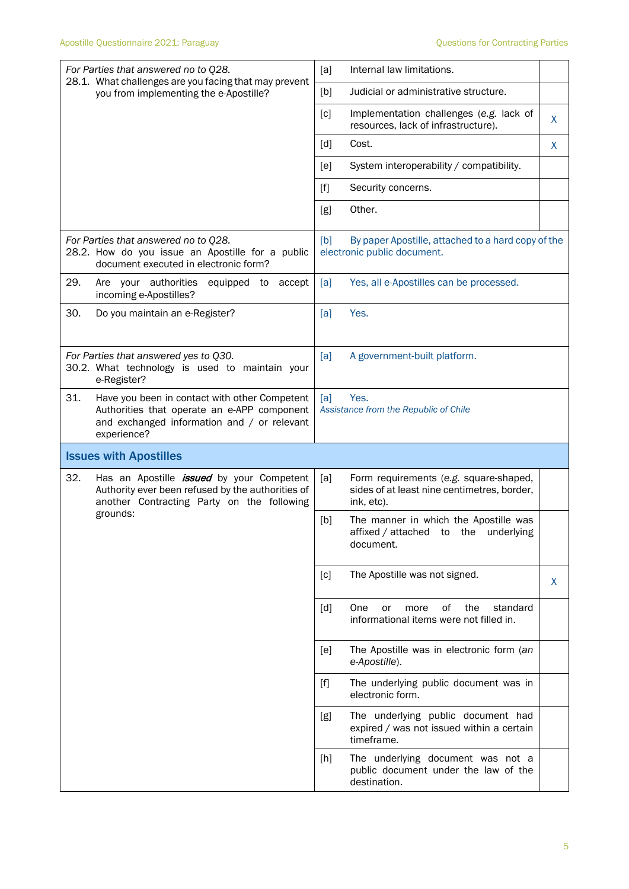| For Parties that answered no to Q28.<br>28.1. What challenges are you facing that may prevent                                                                     | Internal law limitations.<br>[a]                                                                           |  |  |  |
|-------------------------------------------------------------------------------------------------------------------------------------------------------------------|------------------------------------------------------------------------------------------------------------|--|--|--|
| you from implementing the e-Apostille?                                                                                                                            | [b]<br>Judicial or administrative structure.                                                               |  |  |  |
|                                                                                                                                                                   | Implementation challenges (e.g. lack of<br>[c]<br>X<br>resources, lack of infrastructure).                 |  |  |  |
|                                                                                                                                                                   | Cost.<br>[d]<br>X                                                                                          |  |  |  |
|                                                                                                                                                                   | System interoperability / compatibility.<br>[e]                                                            |  |  |  |
|                                                                                                                                                                   | $[f]$<br>Security concerns.                                                                                |  |  |  |
|                                                                                                                                                                   | Other.<br>[g]                                                                                              |  |  |  |
| For Parties that answered no to Q28.<br>28.2. How do you issue an Apostille for a public<br>document executed in electronic form?                                 | By paper Apostille, attached to a hard copy of the<br>[b]<br>electronic public document.                   |  |  |  |
| 29.<br>Are your authorities<br>equipped to accept<br>incoming e-Apostilles?                                                                                       | [a]<br>Yes, all e-Apostilles can be processed.                                                             |  |  |  |
| 30.<br>Do you maintain an e-Register?                                                                                                                             | Yes.<br>[a]                                                                                                |  |  |  |
| For Parties that answered yes to Q30.<br>30.2. What technology is used to maintain your<br>e-Register?                                                            | A government-built platform.<br>[a]                                                                        |  |  |  |
| 31.<br>Have you been in contact with other Competent<br>Authorities that operate an e-APP component<br>and exchanged information and / or relevant<br>experience? | Yes.<br>[a]<br>Assistance from the Republic of Chile                                                       |  |  |  |
| <b>Issues with Apostilles</b>                                                                                                                                     |                                                                                                            |  |  |  |
| 32.<br>Has an Apostille <i>issued</i> by your Competent<br>Authority ever been refused by the authorities of<br>another Contracting Party on the following        | [a]<br>Form requirements (e.g. square-shaped,<br>sides of at least nine centimetres, border,<br>ink, etc). |  |  |  |
| grounds:                                                                                                                                                          | [b]<br>The manner in which the Apostille was<br>affixed / attached to the underlying<br>document.          |  |  |  |
|                                                                                                                                                                   | The Apostille was not signed.<br>[c]<br>X.                                                                 |  |  |  |
|                                                                                                                                                                   | 0f<br>the<br>standard<br>[d]<br>One<br>or<br>more<br>informational items were not filled in.               |  |  |  |
|                                                                                                                                                                   | The Apostille was in electronic form (an<br>[e]<br>e-Apostille).                                           |  |  |  |
|                                                                                                                                                                   | The underlying public document was in<br>$[f]$<br>electronic form.                                         |  |  |  |
|                                                                                                                                                                   | The underlying public document had<br>[g]<br>expired / was not issued within a certain<br>timeframe.       |  |  |  |
|                                                                                                                                                                   | The underlying document was not a<br>[h]                                                                   |  |  |  |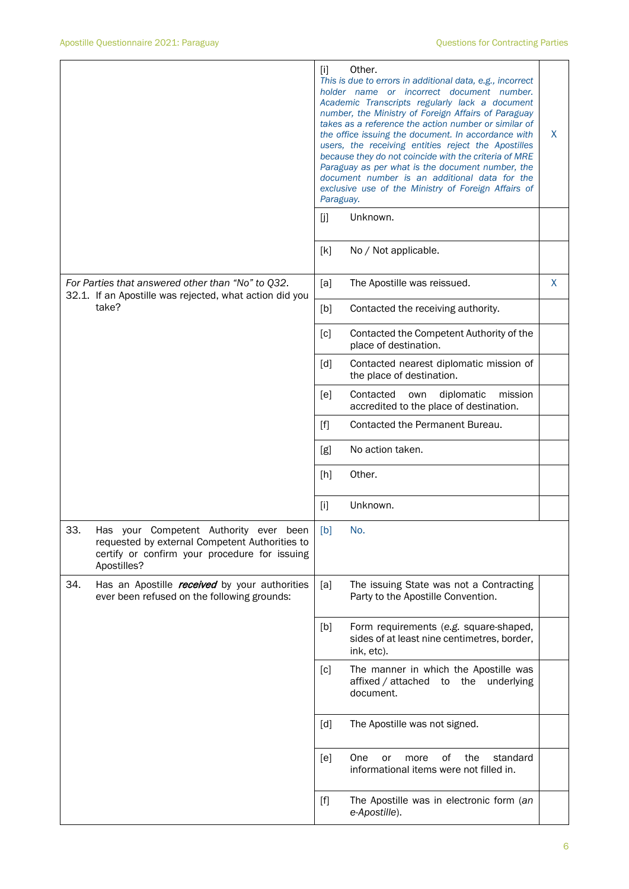|                                                                                                                                                                       | Other.<br>$[1]$<br>This is due to errors in additional data, e.g., incorrect<br>holder name or incorrect document number.<br>Academic Transcripts regularly lack a document<br>number, the Ministry of Foreign Affairs of Paraguay<br>takes as a reference the action number or similar of<br>the office issuing the document. In accordance with<br>X<br>users, the receiving entities reject the Apostilles<br>because they do not coincide with the criteria of MRE<br>Paraguay as per what is the document number, the<br>document number is an additional data for the<br>exclusive use of the Ministry of Foreign Affairs of<br>Paraguay. |   |  |  |
|-----------------------------------------------------------------------------------------------------------------------------------------------------------------------|-------------------------------------------------------------------------------------------------------------------------------------------------------------------------------------------------------------------------------------------------------------------------------------------------------------------------------------------------------------------------------------------------------------------------------------------------------------------------------------------------------------------------------------------------------------------------------------------------------------------------------------------------|---|--|--|
|                                                                                                                                                                       | Unknown.<br>[j]                                                                                                                                                                                                                                                                                                                                                                                                                                                                                                                                                                                                                                 |   |  |  |
|                                                                                                                                                                       | No / Not applicable.<br>[k]                                                                                                                                                                                                                                                                                                                                                                                                                                                                                                                                                                                                                     |   |  |  |
| For Parties that answered other than "No" to Q32.<br>32.1. If an Apostille was rejected, what action did you                                                          | [a]<br>The Apostille was reissued.                                                                                                                                                                                                                                                                                                                                                                                                                                                                                                                                                                                                              | X |  |  |
| take?                                                                                                                                                                 | Contacted the receiving authority.<br>[b]                                                                                                                                                                                                                                                                                                                                                                                                                                                                                                                                                                                                       |   |  |  |
|                                                                                                                                                                       | [c]<br>Contacted the Competent Authority of the<br>place of destination.                                                                                                                                                                                                                                                                                                                                                                                                                                                                                                                                                                        |   |  |  |
|                                                                                                                                                                       | [d]<br>Contacted nearest diplomatic mission of<br>the place of destination.                                                                                                                                                                                                                                                                                                                                                                                                                                                                                                                                                                     |   |  |  |
|                                                                                                                                                                       | [ <sub>e</sub> ]<br>Contacted<br>own<br>diplomatic<br>mission<br>accredited to the place of destination.                                                                                                                                                                                                                                                                                                                                                                                                                                                                                                                                        |   |  |  |
|                                                                                                                                                                       | Contacted the Permanent Bureau.<br>$[f]$                                                                                                                                                                                                                                                                                                                                                                                                                                                                                                                                                                                                        |   |  |  |
|                                                                                                                                                                       | No action taken.<br>[g]                                                                                                                                                                                                                                                                                                                                                                                                                                                                                                                                                                                                                         |   |  |  |
|                                                                                                                                                                       | Other.<br>[h]                                                                                                                                                                                                                                                                                                                                                                                                                                                                                                                                                                                                                                   |   |  |  |
|                                                                                                                                                                       | $[1]$<br>Unknown.                                                                                                                                                                                                                                                                                                                                                                                                                                                                                                                                                                                                                               |   |  |  |
| 33.<br>Competent Authority ever<br>Has your<br>been<br>requested by external Competent Authorities to<br>certify or confirm your procedure for issuing<br>Apostilles? | [b]<br>No.                                                                                                                                                                                                                                                                                                                                                                                                                                                                                                                                                                                                                                      |   |  |  |
| 34.<br>Has an Apostille received by your authorities<br>ever been refused on the following grounds:                                                                   | The issuing State was not a Contracting<br>[a]<br>Party to the Apostille Convention.                                                                                                                                                                                                                                                                                                                                                                                                                                                                                                                                                            |   |  |  |
|                                                                                                                                                                       | Form requirements (e.g. square-shaped,<br>[b]<br>sides of at least nine centimetres, border,<br>ink, etc).                                                                                                                                                                                                                                                                                                                                                                                                                                                                                                                                      |   |  |  |
|                                                                                                                                                                       | The manner in which the Apostille was<br>[c]<br>affixed / attached to the<br>underlying<br>document.                                                                                                                                                                                                                                                                                                                                                                                                                                                                                                                                            |   |  |  |
|                                                                                                                                                                       | The Apostille was not signed.<br>[d]                                                                                                                                                                                                                                                                                                                                                                                                                                                                                                                                                                                                            |   |  |  |
|                                                                                                                                                                       | One<br>0f<br>the<br>standard<br>[e]<br>or<br>more<br>informational items were not filled in.                                                                                                                                                                                                                                                                                                                                                                                                                                                                                                                                                    |   |  |  |
|                                                                                                                                                                       | $[f]$<br>The Apostille was in electronic form (an<br>e-Apostille).                                                                                                                                                                                                                                                                                                                                                                                                                                                                                                                                                                              |   |  |  |